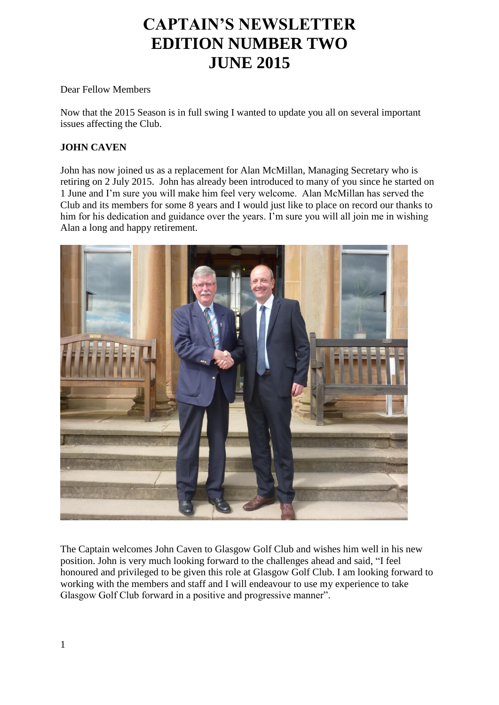# **CAPTAIN'S NEWSLETTER EDITION NUMBER TWO JUNE 2015**

Dear Fellow Members

Now that the 2015 Season is in full swing I wanted to update you all on several important issues affecting the Club.

# **JOHN CAVEN**

John has now joined us as a replacement for Alan McMillan, Managing Secretary who is retiring on 2 July 2015. John has already been introduced to many of you since he started on 1 June and I'm sure you will make him feel very welcome. Alan McMillan has served the Club and its members for some 8 years and I would just like to place on record our thanks to him for his dedication and guidance over the years. I'm sure you will all join me in wishing Alan a long and happy retirement.



The Captain welcomes John Caven to Glasgow Golf Club and wishes him well in his new position. John is very much looking forward to the challenges ahead and said, "I feel honoured and privileged to be given this role at Glasgow Golf Club. I am looking forward to working with the members and staff and I will endeavour to use my experience to take Glasgow Golf Club forward in a positive and progressive manner".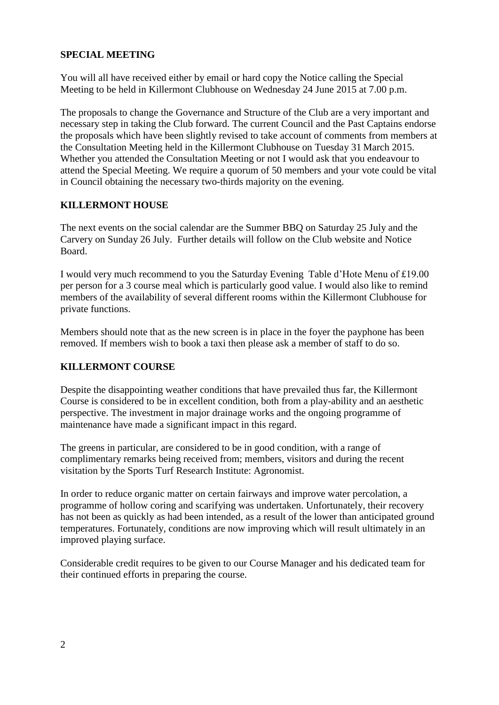#### **SPECIAL MEETING**

You will all have received either by email or hard copy the Notice calling the Special Meeting to be held in Killermont Clubhouse on Wednesday 24 June 2015 at 7.00 p.m.

The proposals to change the Governance and Structure of the Club are a very important and necessary step in taking the Club forward. The current Council and the Past Captains endorse the proposals which have been slightly revised to take account of comments from members at the Consultation Meeting held in the Killermont Clubhouse on Tuesday 31 March 2015. Whether you attended the Consultation Meeting or not I would ask that you endeavour to attend the Special Meeting. We require a quorum of 50 members and your vote could be vital in Council obtaining the necessary two-thirds majority on the evening.

#### **KILLERMONT HOUSE**

The next events on the social calendar are the Summer BBQ on Saturday 25 July and the Carvery on Sunday 26 July. Further details will follow on the Club website and Notice Board.

I would very much recommend to you the Saturday Evening Table d'Hote Menu of £19.00 per person for a 3 course meal which is particularly good value. I would also like to remind members of the availability of several different rooms within the Killermont Clubhouse for private functions.

Members should note that as the new screen is in place in the foyer the payphone has been removed. If members wish to book a taxi then please ask a member of staff to do so.

#### **KILLERMONT COURSE**

Despite the disappointing weather conditions that have prevailed thus far, the Killermont Course is considered to be in excellent condition, both from a play-ability and an aesthetic perspective. The investment in major drainage works and the ongoing programme of maintenance have made a significant impact in this regard.

The greens in particular, are considered to be in good condition, with a range of complimentary remarks being received from; members, visitors and during the recent visitation by the Sports Turf Research Institute: Agronomist.

In order to reduce organic matter on certain fairways and improve water percolation, a programme of hollow coring and scarifying was undertaken. Unfortunately, their recovery has not been as quickly as had been intended, as a result of the lower than anticipated ground temperatures. Fortunately, conditions are now improving which will result ultimately in an improved playing surface.

Considerable credit requires to be given to our Course Manager and his dedicated team for their continued efforts in preparing the course.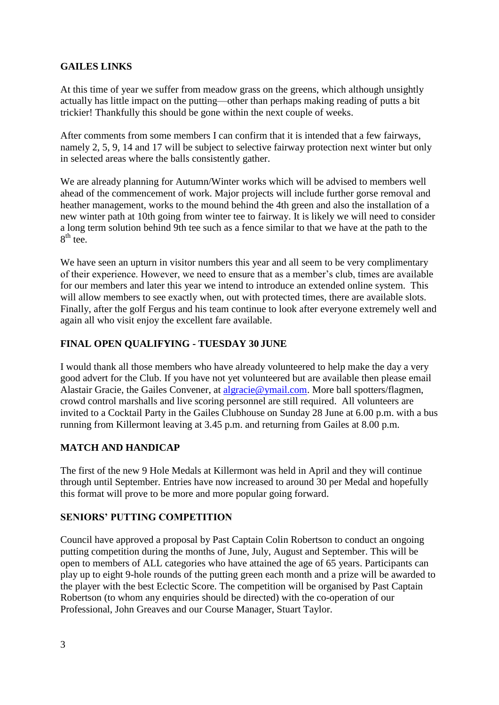#### **GAILES LINKS**

At this time of year we suffer from meadow grass on the greens, which although unsightly actually has little impact on the putting—other than perhaps making reading of putts a bit trickier! Thankfully this should be gone within the next couple of weeks.

After comments from some members I can confirm that it is intended that a few fairways, namely 2, 5, 9, 14 and 17 will be subject to selective fairway protection next winter but only in selected areas where the balls consistently gather.

We are already planning for Autumn/Winter works which will be advised to members well ahead of the commencement of work. Major projects will include further gorse removal and heather management, works to the mound behind the 4th green and also the installation of a new winter path at 10th going from winter tee to fairway. It is likely we will need to consider a long term solution behind 9th tee such as a fence similar to that we have at the path to the  $8<sup>th</sup>$  tee.

We have seen an upturn in visitor numbers this year and all seem to be very complimentary of their experience. However, we need to ensure that as a member's club, times are available for our members and later this year we intend to introduce an extended online system. This will allow members to see exactly when, out with protected times, there are available slots. Finally, after the golf Fergus and his team continue to look after everyone extremely well and again all who visit enjoy the excellent fare available.

# **FINAL OPEN QUALIFYING - TUESDAY 30 JUNE**

I would thank all those members who have already volunteered to help make the day a very good advert for the Club. If you have not yet volunteered but are available then please email Alastair Gracie, the Gailes Convener, at [algracie@ymail.com.](mailto:algracie@ymail.com) More ball spotters/flagmen, crowd control marshalls and live scoring personnel are still required. All volunteers are invited to a Cocktail Party in the Gailes Clubhouse on Sunday 28 June at 6.00 p.m. with a bus running from Killermont leaving at 3.45 p.m. and returning from Gailes at 8.00 p.m.

#### **MATCH AND HANDICAP**

The first of the new 9 Hole Medals at Killermont was held in April and they will continue through until September. Entries have now increased to around 30 per Medal and hopefully this format will prove to be more and more popular going forward.

#### **SENIORS' PUTTING COMPETITION**

Council have approved a proposal by Past Captain Colin Robertson to conduct an ongoing putting competition during the months of June, July, August and September. This will be open to members of ALL categories who have attained the age of 65 years. Participants can play up to eight 9-hole rounds of the putting green each month and a prize will be awarded to the player with the best Eclectic Score. The competition will be organised by Past Captain Robertson (to whom any enquiries should be directed) with the co-operation of our Professional, John Greaves and our Course Manager, Stuart Taylor.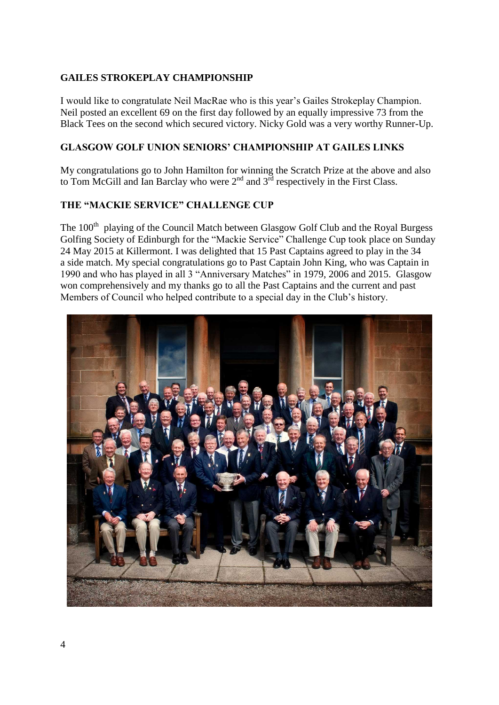# **GAILES STROKEPLAY CHAMPIONSHIP**

I would like to congratulate Neil MacRae who is this year's Gailes Strokeplay Champion. Neil posted an excellent 69 on the first day followed by an equally impressive 73 from the Black Tees on the second which secured victory. Nicky Gold was a very worthy Runner-Up.

#### **GLASGOW GOLF UNION SENIORS' CHAMPIONSHIP AT GAILES LINKS**

My congratulations go to John Hamilton for winning the Scratch Prize at the above and also to Tom McGill and Ian Barclay who were  $2<sup>nd</sup>$  and  $3<sup>rd</sup>$  respectively in the First Class.

#### **THE "MACKIE SERVICE" CHALLENGE CUP**

The 100<sup>th</sup> playing of the Council Match between Glasgow Golf Club and the Royal Burgess Golfing Society of Edinburgh for the "Mackie Service" Challenge Cup took place on Sunday 24 May 2015 at Killermont. I was delighted that 15 Past Captains agreed to play in the 34 a side match. My special congratulations go to Past Captain John King, who was Captain in 1990 and who has played in all 3 "Anniversary Matches" in 1979, 2006 and 2015. Glasgow won comprehensively and my thanks go to all the Past Captains and the current and past Members of Council who helped contribute to a special day in the Club's history.

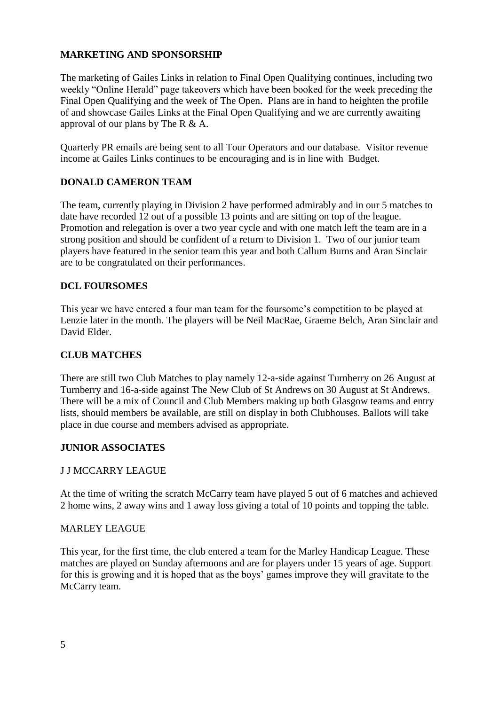# **MARKETING AND SPONSORSHIP**

The marketing of Gailes Links in relation to Final Open Qualifying continues, including two weekly "Online Herald" page takeovers which have been booked for the week preceding the Final Open Qualifying and the week of The Open. Plans are in hand to heighten the profile of and showcase Gailes Links at the Final Open Qualifying and we are currently awaiting approval of our plans by The R & A.

Quarterly PR emails are being sent to all Tour Operators and our database. Visitor revenue income at Gailes Links continues to be encouraging and is in line with Budget.

# **DONALD CAMERON TEAM**

The team, currently playing in Division 2 have performed admirably and in our 5 matches to date have recorded 12 out of a possible 13 points and are sitting on top of the league. Promotion and relegation is over a two year cycle and with one match left the team are in a strong position and should be confident of a return to Division 1. Two of our junior team players have featured in the senior team this year and both Callum Burns and Aran Sinclair are to be congratulated on their performances.

#### **DCL FOURSOMES**

This year we have entered a four man team for the foursome's competition to be played at Lenzie later in the month. The players will be Neil MacRae, Graeme Belch, Aran Sinclair and David Elder.

#### **CLUB MATCHES**

There are still two Club Matches to play namely 12-a-side against Turnberry on 26 August at Turnberry and 16-a-side against The New Club of St Andrews on 30 August at St Andrews. There will be a mix of Council and Club Members making up both Glasgow teams and entry lists, should members be available, are still on display in both Clubhouses. Ballots will take place in due course and members advised as appropriate.

#### **JUNIOR ASSOCIATES**

#### J J MCCARRY LEAGUE

At the time of writing the scratch McCarry team have played 5 out of 6 matches and achieved 2 home wins, 2 away wins and 1 away loss giving a total of 10 points and topping the table.

#### MARLEY LEAGUE

This year, for the first time, the club entered a team for the Marley Handicap League. These matches are played on Sunday afternoons and are for players under 15 years of age. Support for this is growing and it is hoped that as the boys' games improve they will gravitate to the McCarry team.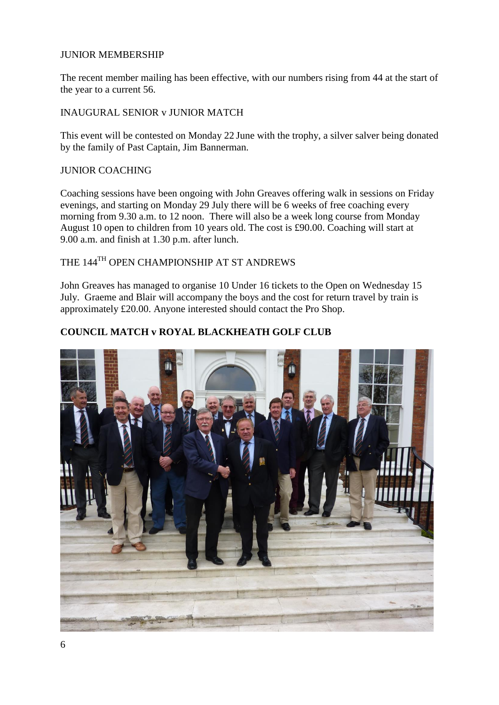#### JUNIOR MEMBERSHIP

The recent member mailing has been effective, with our numbers rising from 44 at the start of the year to a current 56.

#### INAUGURAL SENIOR v JUNIOR MATCH

This event will be contested on Monday 22 June with the trophy, a silver salver being donated by the family of Past Captain, Jim Bannerman.

#### JUNIOR COACHING

Coaching sessions have been ongoing with John Greaves offering walk in sessions on Friday evenings, and starting on Monday 29 July there will be 6 weeks of free coaching every morning from 9.30 a.m. to 12 noon. There will also be a week long course from Monday August 10 open to children from 10 years old. The cost is £90.00. Coaching will start at 9.00 a.m. and finish at 1.30 p.m. after lunch.

# THE 144<sup>TH</sup> OPEN CHAMPIONSHIP AT ST ANDREWS

John Greaves has managed to organise 10 Under 16 tickets to the Open on Wednesday 15 July. Graeme and Blair will accompany the boys and the cost for return travel by train is approximately £20.00. Anyone interested should contact the Pro Shop.

#### **COUNCIL MATCH v ROYAL BLACKHEATH GOLF CLUB**